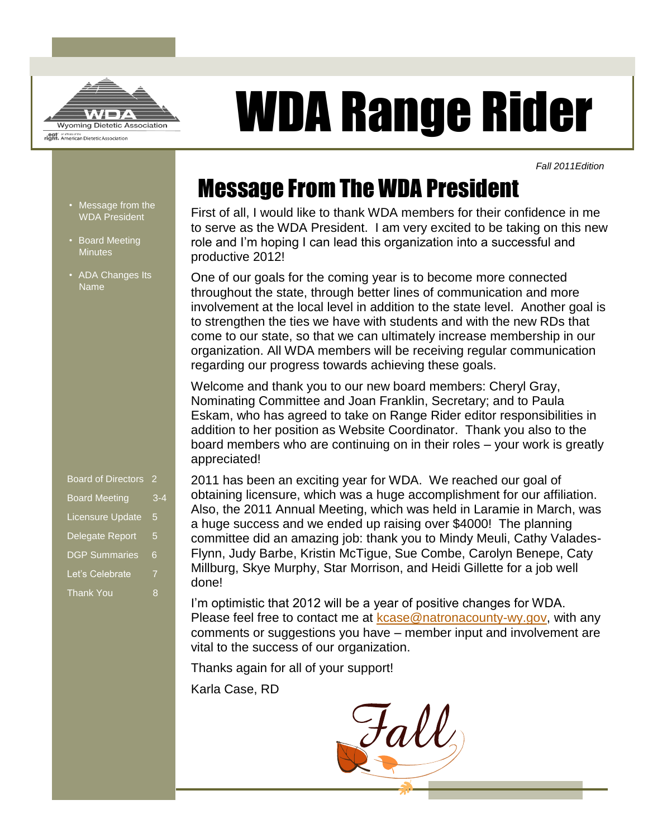

# WDA Range Rider

*Fall 2011Edition* 

# Message From The WDA President

First of all, I would like to thank WDA members for their confidence in me to serve as the WDA President. I am very excited to be taking on this new role and I'm hoping I can lead this organization into a successful and productive 2012!

One of our goals for the coming year is to become more connected throughout the state, through better lines of communication and more involvement at the local level in addition to the state level. Another goal is to strengthen the ties we have with students and with the new RDs that come to our state, so that we can ultimately increase membership in our organization. All WDA members will be receiving regular communication regarding our progress towards achieving these goals.

Welcome and thank you to our new board members: Cheryl Gray, Nominating Committee and Joan Franklin, Secretary; and to Paula Eskam, who has agreed to take on Range Rider editor responsibilities in addition to her position as Website Coordinator. Thank you also to the board members who are continuing on in their roles – your work is greatly appreciated!

2011 has been an exciting year for WDA. We reached our goal of obtaining licensure, which was a huge accomplishment for our affiliation. Also, the 2011 Annual Meeting, which was held in Laramie in March, was a huge success and we ended up raising over \$4000! The planning committee did an amazing job: thank you to Mindy Meuli, Cathy Valades-Flynn, Judy Barbe, Kristin McTigue, Sue Combe, Carolyn Benepe, Caty Millburg, Skye Murphy, Star Morrison, and Heidi Gillette for a job well done!

I'm optimistic that 2012 will be a year of positive changes for WDA. Please feel free to contact me at [kcase@natronacounty-wy.gov,](mailto:kcase@natronacounty-wy.gov) with any comments or suggestions you have – member input and involvement are vital to the success of our organization.

Thanks again for all of your support!

Karla Case, RD

Fall

- Message from the WDA President
- Board Meeting **Minutes**
- ADA Changes Its Name

| <b>Board of Directors</b> | 2   |
|---------------------------|-----|
| <b>Board Meeting</b>      | 3-4 |
| <b>Licensure Update</b>   | 5   |
| Delegate Report           | 5   |
| <b>DGP Summaries</b>      | 6   |
| Let's Celebrate           | 7   |
| <b>Thank You</b>          | 8   |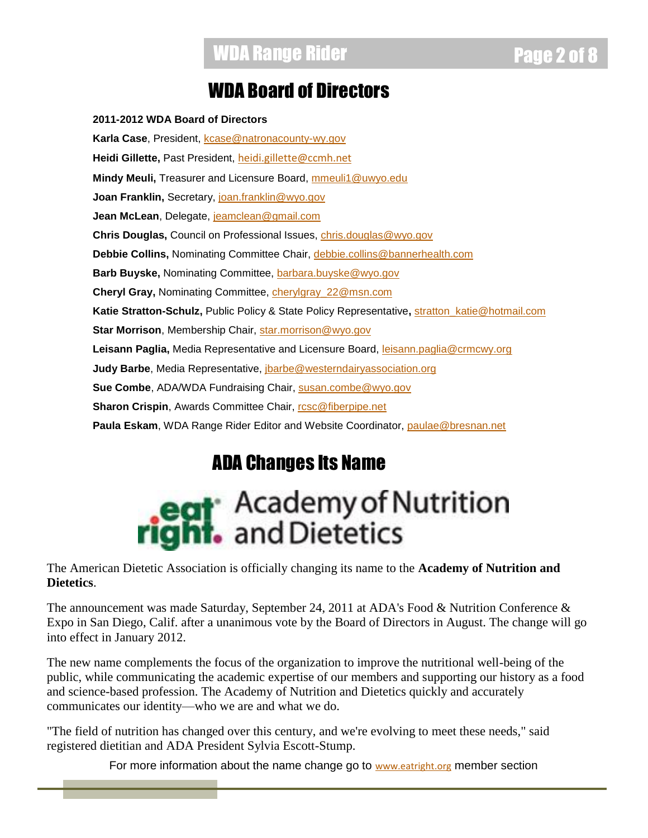### WDA Board of Directors

**2011-2012 WDA Board of Directors** Karla Case, President, [kcase@natronacounty-wy.gov](mailto:kcase@natronacounty-wy.gov) **Heidi Gillette,** Past President, [heidi.gillette@ccmh.net](mailto:heidi.gillette@ccmh.net) **Mindy Meuli,** Treasurer and Licensure Board, [mmeuli1@uwyo.edu](mailto:mmeuli1@uwyo.edu) Joan Franklin, Secretary, [joan.franklin@wyo.gov](mailto:joan.franklin@wyo.gov) **Jean McLean**, Delegate, [jeamclean@gmail.com](mailto:jeamclean@gmail.com) **Chris Douglas,** Council on Professional Issues, [chris.douglas@wyo.gov](mailto:chris.douglas@wyo.gov) **Debbie Collins,** Nominating Committee Chair, [debbie.collins@bannerhealth.com](mailto:debbie.collins@bannerhealth.com) Barb Buyske, Nominating Committee, [barbara.buyske@wyo.gov](mailto:barbara.buyske@wyo.gov) **Cheryl Gray,** Nominating Committee, [cherylgray\\_22@msn.com](mailto:cherylgray_22@msn.com) **Katie Stratton-Schulz,** Public Policy & State Policy Representative**,** [stratton\\_katie@hotmail.com](mailto:stratton_katie@hotmail.com) Star Morrison, Membership Chair, [star.morrison@wyo.gov](mailto:star.morrison@wyo.gov) **Leisann Paglia,** Media Representative and Licensure Board, [leisann.paglia@crmcwy.org](mailto:leisann.paglia@crmcwy.org) **Judy Barbe**, Media Representative, *jbarbe@westerndairyassociation.org* **Sue Combe**, ADA/WDA Fundraising Chair, [susan.combe@wyo.gov](mailto:susan.combe@wyo.gov) **Sharon Crispin, Awards Committee Chair, resc@fiberpipe.net Paula Eskam**, WDA Range Rider Editor and Website Coordinator, [paulae@bresnan.net](mailto:paulae@bresnan.net)

## ADA Changes Its Name

# **eat** Academy of Nutrition ht. and Dietetics

The American Dietetic Association is officially changing its name to the **Academy of Nutrition and Dietetics**.

The announcement was made Saturday, September 24, 2011 at ADA's Food & Nutrition Conference & Expo in San Diego, Calif. after a unanimous vote by the Board of Directors in August. The change will go into effect in January 2012.

The new name complements the focus of the organization to improve the nutritional well-being of the public, while communicating the academic expertise of our members and supporting our history as a food and science-based profession. The Academy of Nutrition and Dietetics quickly and accurately communicates our identity—who we are and what we do.

"The field of nutrition has changed over this century, and we're evolving to meet these needs," said registered dietitian and ADA President Sylvia Escott-Stump.

For more information about the name change go to [www.eatright.org](http://www.eatright.org/) member section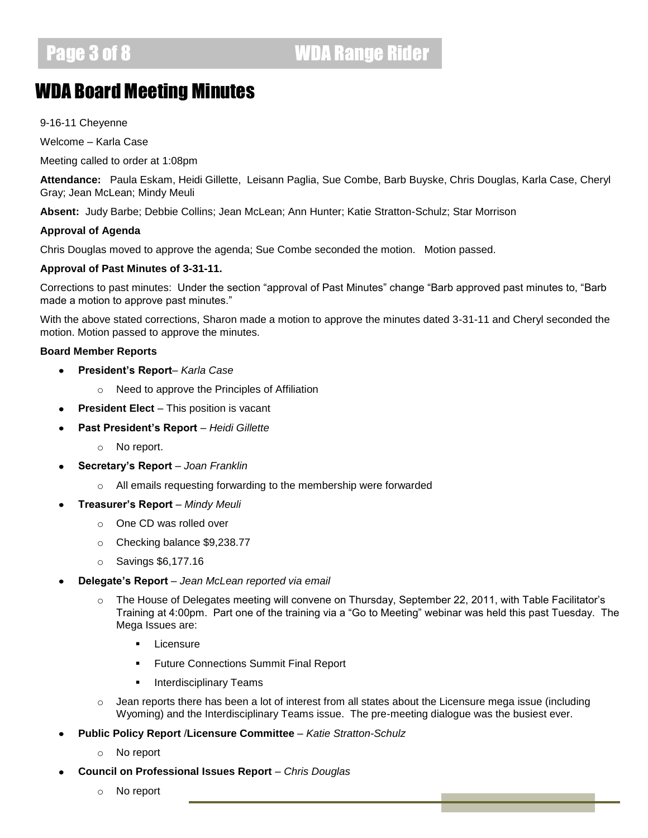## WDA Board Meeting Minutes

9-16-11 Cheyenne

Welcome – Karla Case

Meeting called to order at 1:08pm

**Attendance:** Paula Eskam, Heidi Gillette, Leisann Paglia, Sue Combe, Barb Buyske, Chris Douglas, Karla Case, Cheryl Gray; Jean McLean; Mindy Meuli

**Absent:** Judy Barbe; Debbie Collins; Jean McLean; Ann Hunter; Katie Stratton-Schulz; Star Morrison

### **Approval of Agenda**

Chris Douglas moved to approve the agenda; Sue Combe seconded the motion. Motion passed.

### **Approval of Past Minutes of 3-31-11.**

Corrections to past minutes: Under the section "approval of Past Minutes" change "Barb approved past minutes to, "Barb made a motion to approve past minutes."

With the above stated corrections, Sharon made a motion to approve the minutes dated 3-31-11 and Cheryl seconded the motion. Motion passed to approve the minutes.

### **Board Member Reports**

- **President's Report** *Karla Case*  $\bullet$ 
	- o Need to approve the Principles of Affiliation
- **President Elect** This position is vacant
- **Past President's Report** *Heidi Gillette*
	- o No report.
- **Secretary's Report** *Joan Franklin*
	- o All emails requesting forwarding to the membership were forwarded
- **Treasurer's Report** *Mindy Meuli*
	- o One CD was rolled over
	- o Checking balance \$9,238.77
	- o Savings \$6,177.16
- **Delegate's Report** *Jean McLean reported via email*
	- o The House of Delegates meeting will convene on Thursday, September 22, 2011, with Table Facilitator's Training at 4:00pm. Part one of the training via a "Go to Meeting" webinar was held this past Tuesday. The Mega Issues are:
		- **Licensure**
		- Future Connections Summit Final Report
		- **Interdisciplinary Teams**
	- $\circ$  Jean reports there has been a lot of interest from all states about the Licensure mega issue (including Wyoming) and the Interdisciplinary Teams issue. The pre-meeting dialogue was the busiest ever.
- **Public Policy Report** /**Licensure Committee** *Katie Stratton-Schulz*
	- o No report
- **Council on Professional Issues Report** *Chris Douglas*
	- o No report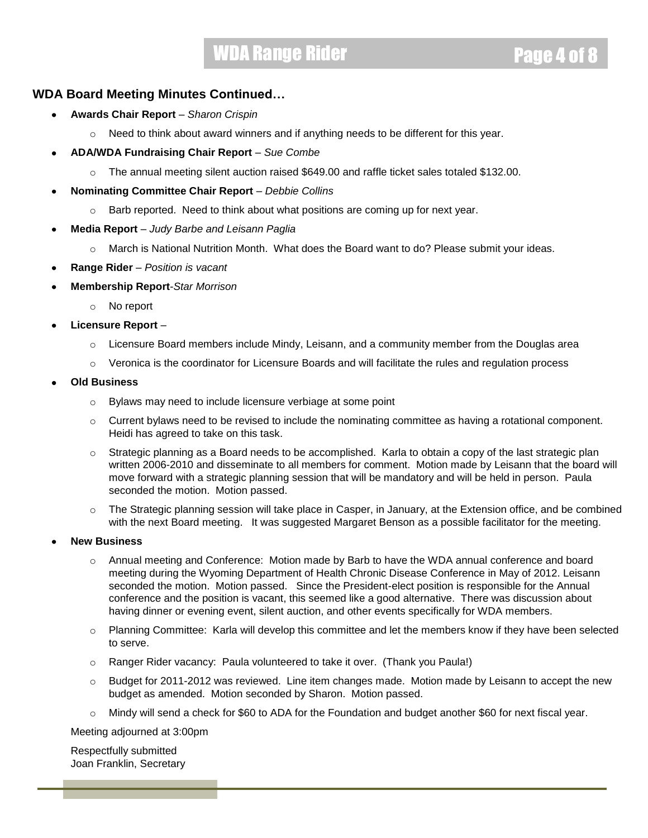### WDA Range Rider **Page 4 of 8 and 8 and 8 and 8 and 8 and 8 and 8 and 8 and 8 and 8 and 8 and 8 and 8 and 8 and 8 and 8 and 8 and 8 and 8 and 8 and 8 and 8 and 8 and 8 and 8 and 8 and 8 and 8 and 8 and 8 and 8 and 8 and 8 a**

### **WDA Board Meeting Minutes Continued…**

- **Awards Chair Report** *Sharon Crispin* 
	- $\circ$  Need to think about award winners and if anything needs to be different for this year.
- **ADA/WDA Fundraising Chair Report** *Sue Combe*
	- $\circ$  The annual meeting silent auction raised \$649.00 and raffle ticket sales totaled \$132.00.
- **Nominating Committee Chair Report** *Debbie Collins*
	- o Barb reported. Need to think about what positions are coming up for next year.
- **Media Report** *Judy Barbe and Leisann Paglia*
	- $\circ$  March is National Nutrition Month. What does the Board want to do? Please submit your ideas.
- **Range Rider** *Position is vacant*
- **Membership Report**-*Star Morrison*
	- o No report
- **Licensure Report**
	- $\circ$  Licensure Board members include Mindy, Leisann, and a community member from the Douglas area
	- $\circ$  Veronica is the coordinator for Licensure Boards and will facilitate the rules and regulation process
- **Old Business** 
	- o Bylaws may need to include licensure verbiage at some point
	- $\circ$  Current bylaws need to be revised to include the nominating committee as having a rotational component. Heidi has agreed to take on this task.
	- $\circ$  Strategic planning as a Board needs to be accomplished. Karla to obtain a copy of the last strategic plan written 2006-2010 and disseminate to all members for comment. Motion made by Leisann that the board will move forward with a strategic planning session that will be mandatory and will be held in person. Paula seconded the motion. Motion passed.
	- o The Strategic planning session will take place in Casper, in January, at the Extension office, and be combined with the next Board meeting. It was suggested Margaret Benson as a possible facilitator for the meeting.
- **New Business**
	- o Annual meeting and Conference: Motion made by Barb to have the WDA annual conference and board meeting during the Wyoming Department of Health Chronic Disease Conference in May of 2012. Leisann seconded the motion. Motion passed. Since the President-elect position is responsible for the Annual conference and the position is vacant, this seemed like a good alternative. There was discussion about having dinner or evening event, silent auction, and other events specifically for WDA members.
	- o Planning Committee: Karla will develop this committee and let the members know if they have been selected to serve.
	- o Ranger Rider vacancy: Paula volunteered to take it over. (Thank you Paula!)
	- $\circ$  Budget for 2011-2012 was reviewed. Line item changes made. Motion made by Leisann to accept the new budget as amended. Motion seconded by Sharon. Motion passed.
	- o Mindy will send a check for \$60 to ADA for the Foundation and budget another \$60 for next fiscal year.

Meeting adjourned at 3:00pm

Respectfully submitted Joan Franklin, Secretary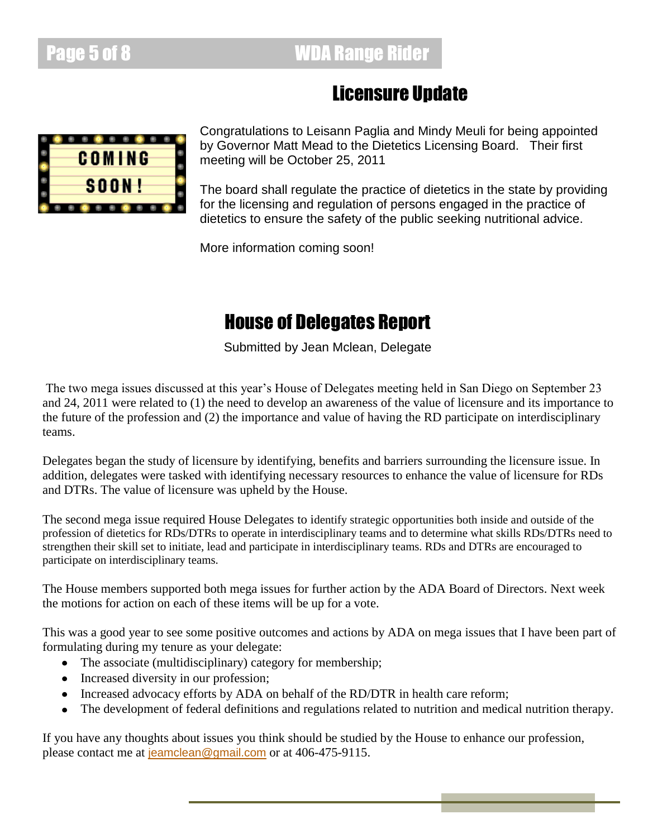### Licensure Update



Congratulations to Leisann Paglia and Mindy Meuli for being appointed by Governor Matt Mead to the Dietetics Licensing Board. Their first meeting will be October 25, 2011

The board shall regulate the practice of dietetics in the state by providing for the licensing and regulation of persons engaged in the practice of dietetics to ensure the safety of the public seeking nutritional advice.

More information coming soon!

## House of Delegates Report

Submitted by Jean Mclean, Delegate

The two mega issues discussed at this year's House of Delegates meeting held in San Diego on September 23 and 24, 2011 were related to (1) the need to develop an awareness of the value of licensure and its importance to the future of the profession and (2) the importance and value of having the RD participate on interdisciplinary teams.

Delegates began the study of licensure by identifying, benefits and barriers surrounding the licensure issue. In addition, delegates were tasked with identifying necessary resources to enhance the value of licensure for RDs and DTRs. The value of licensure was upheld by the House.

The second mega issue required House Delegates to identify strategic opportunities both inside and outside of the profession of dietetics for RDs/DTRs to operate in interdisciplinary teams and to determine what skills RDs/DTRs need to strengthen their skill set to initiate, lead and participate in interdisciplinary teams. RDs and DTRs are encouraged to participate on interdisciplinary teams.

The House members supported both mega issues for further action by the ADA Board of Directors. Next week the motions for action on each of these items will be up for a vote.

This was a good year to see some positive outcomes and actions by ADA on mega issues that I have been part of formulating during my tenure as your delegate:

- The associate (multidisciplinary) category for membership;
- Increased diversity in our profession;
- Increased advocacy efforts by ADA on behalf of the RD/DTR in health care reform;
- The development of federal definitions and regulations related to nutrition and medical nutrition therapy.

If you have any thoughts about issues you think should be studied by the House to enhance our profession, please contact me at [jeamclean@gmail.com](mailto:jeamclean@gmail.com) or at 406-475-9115.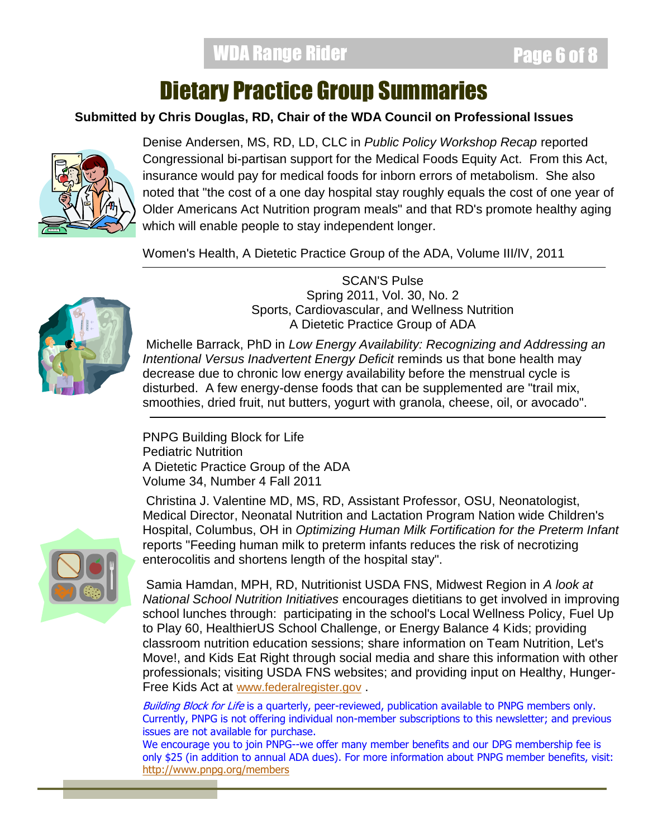# Dietary Practice Group Summaries

### **Submitted by Chris Douglas, RD, Chair of the WDA Council on Professional Issues**



Denise Andersen, MS, RD, LD, CLC in *Public Policy Workshop Recap* reported Congressional bi-partisan support for the Medical Foods Equity Act. From this Act, insurance would pay for medical foods for inborn errors of metabolism. She also noted that "the cost of a one day hospital stay roughly equals the cost of one year of Older Americans Act Nutrition program meals" and that RD's promote healthy aging which will enable people to stay independent longer.

Women's Health, A Dietetic Practice Group of the ADA, Volume III/IV, 2011



SCAN'S Pulse Spring 2011, Vol. 30, No. 2 Sports, Cardiovascular, and Wellness Nutrition A Dietetic Practice Group of ADA

Michelle Barrack, PhD in *Low Energy Availability: Recognizing and Addressing an Intentional Versus Inadvertent Energy Deficit* reminds us that bone health may decrease due to chronic low energy availability before the menstrual cycle is disturbed. A few energy-dense foods that can be supplemented are "trail mix, smoothies, dried fruit, nut butters, yogurt with granola, cheese, oil, or avocado".

PNPG Building Block for Life Pediatric Nutrition A Dietetic Practice Group of the ADA Volume 34, Number 4 Fall 2011

Christina J. Valentine MD, MS, RD, Assistant Professor, OSU, Neonatologist, Medical Director, Neonatal Nutrition and Lactation Program Nation wide Children's Hospital, Columbus, OH in *Optimizing Human Milk Fortification for the Preterm Infant*  reports "Feeding human milk to preterm infants reduces the risk of necrotizing enterocolitis and shortens length of the hospital stay".

Samia Hamdan, MPH, RD, Nutritionist USDA FNS, Midwest Region in *A look at National School Nutrition Initiatives* encourages dietitians to get involved in improving school lunches through: participating in the school's Local Wellness Policy, Fuel Up to Play 60, HealthierUS School Challenge, or Energy Balance 4 Kids; providing classroom nutrition education sessions; share information on Team Nutrition, Let's Move!, and Kids Eat Right through social media and share this information with other professionals; visiting USDA FNS websites; and providing input on Healthy, Hunger-Free Kids Act at [www.federalregister.gov](http://www.federalregister.gov/) .

Building Block for Life is a quarterly, peer-reviewed, publication available to PNPG members only. Currently, PNPG is not offering individual non-member subscriptions to this newsletter; and previous issues are not available for purchase.

We encourage you to join PNPG--we offer many member benefits and our DPG membership fee is only \$25 (in addition to annual ADA dues). For more information about PNPG member benefits, visit: <http://www.pnpg.org/members>

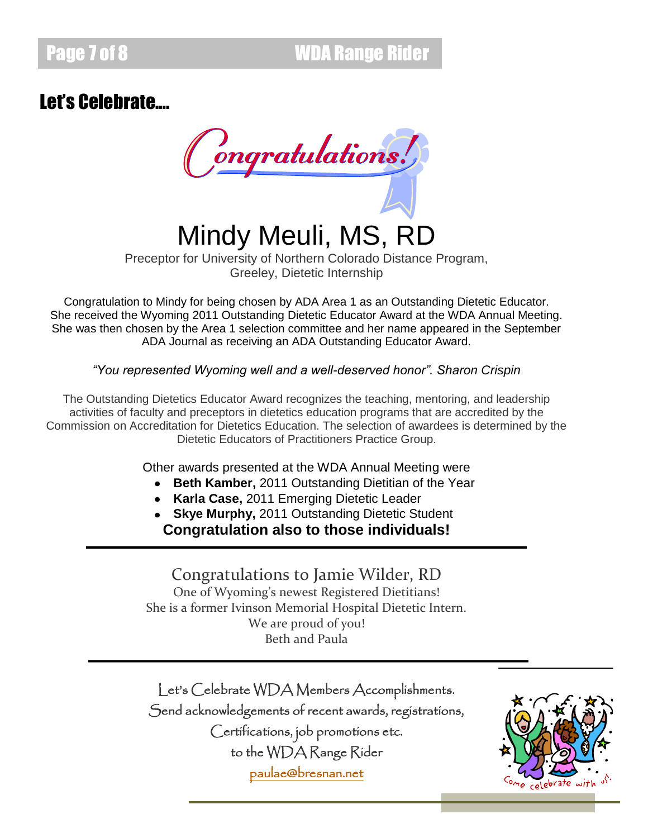# Let's Celebrate….

Congratulations!

Mindy Meuli, MS, RD

Preceptor for University of Northern Colorado Distance Program, Greeley, Dietetic Internship

Congratulation to Mindy for being chosen by ADA Area 1 as an Outstanding Dietetic Educator. She received the Wyoming 2011 Outstanding Dietetic Educator Award at the WDA Annual Meeting. She was then chosen by the Area 1 selection committee and her name appeared in the September ADA Journal as receiving an ADA Outstanding Educator Award.

*"You represented Wyoming well and a well-deserved honor". Sharon Crispin*

The Outstanding Dietetics Educator Award recognizes the teaching, mentoring, and leadership activities of faculty and preceptors in dietetics education programs that are accredited by the Commission on Accreditation for Dietetics Education. The selection of awardees is determined by the Dietetic Educators of Practitioners Practice Group.

Other awards presented at the WDA Annual Meeting were

- **Beth Kamber,** 2011 Outstanding Dietitian of the Year
- **Karla Case,** 2011 Emerging Dietetic Leader
- **Skye Murphy,** 2011 Outstanding Dietetic Student

**Congratulation also to those individuals!**

Congratulations to Jamie Wilder, RD One of Wyoming's newest Registered Dietitians! She is a former Ivinson Memorial Hospital Dietetic Intern. We are proud of you! Beth and Paula

Let's Celebrate WDA Members Accomplishments. Send acknowledgements of recent awards, registrations, Certifications, job promotions etc. to the WDA Range Rider [paulae@bresnan.net](mailto:paulae@bresnan.net)